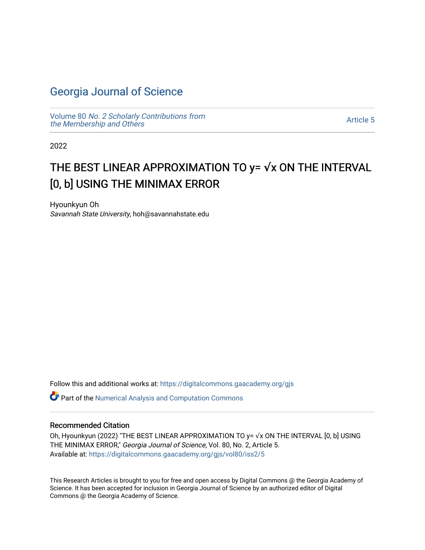## [Georgia Journal of Science](https://digitalcommons.gaacademy.org/gjs)

Volume 80 [No. 2 Scholarly Contributions from](https://digitalcommons.gaacademy.org/gjs/vol80) [the Membership and Others](https://digitalcommons.gaacademy.org/gjs/vol80) 

[Article 5](https://digitalcommons.gaacademy.org/gjs/vol80/iss2/5) 

2022

# THE BEST LINEAR APPROXIMATION TO y= √x ON THE INTERVAL [0, b] USING THE MINIMAX ERROR

Hyounkyun Oh Savannah State University, hoh@savannahstate.edu

Follow this and additional works at: [https://digitalcommons.gaacademy.org/gjs](https://digitalcommons.gaacademy.org/gjs?utm_source=digitalcommons.gaacademy.org%2Fgjs%2Fvol80%2Fiss2%2F5&utm_medium=PDF&utm_campaign=PDFCoverPages) 

Part of the [Numerical Analysis and Computation Commons](http://network.bepress.com/hgg/discipline/119?utm_source=digitalcommons.gaacademy.org%2Fgjs%2Fvol80%2Fiss2%2F5&utm_medium=PDF&utm_campaign=PDFCoverPages) 

#### Recommended Citation

Oh, Hyounkyun (2022) "THE BEST LINEAR APPROXIMATION TO y= √x ON THE INTERVAL [0, b] USING THE MINIMAX ERROR," Georgia Journal of Science, Vol. 80, No. 2, Article 5. Available at: [https://digitalcommons.gaacademy.org/gjs/vol80/iss2/5](https://digitalcommons.gaacademy.org/gjs/vol80/iss2/5?utm_source=digitalcommons.gaacademy.org%2Fgjs%2Fvol80%2Fiss2%2F5&utm_medium=PDF&utm_campaign=PDFCoverPages)

This Research Articles is brought to you for free and open access by Digital Commons @ the Georgia Academy of Science. It has been accepted for inclusion in Georgia Journal of Science by an authorized editor of Digital Commons @ the Georgia Academy of Science.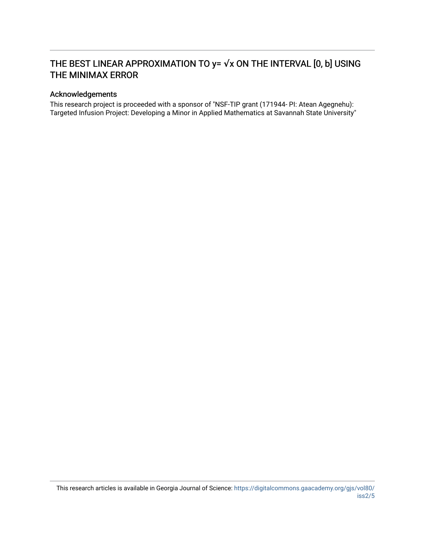## THE BEST LINEAR APPROXIMATION TO y= √x ON THE INTERVAL [0, b] USING THE MINIMAX ERROR

#### Acknowledgements

This research project is proceeded with a sponsor of "NSF-TIP grant (171944- PI: Atean Agegnehu): Targeted Infusion Project: Developing a Minor in Applied Mathematics at Savannah State University"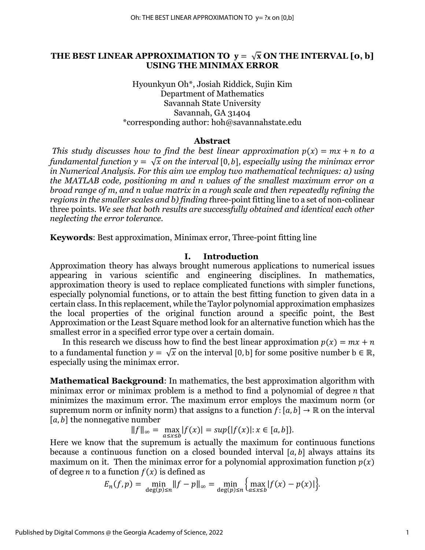#### THE BEST LINEAR APPROXIMATION TO  $y = \sqrt{x}$  ON THE INTERVAL [0, b] **USING THE MINIMAX ERROR**

Hyounkyun Oh\*, Josiah Riddick, Sujin Kim Department of Mathematics Savannah State University Savannah, GA 31404 \*corresponding author: hoh@savannahstate.edu

#### **Abstract**

*This study discusses how to find the best linear approximation*  $p(x) = mx + n$  *to a fundamental function*  $y = \sqrt{x}$  *on the interval* [0, b], especially using the minimax error *in Numerical Analysis. For this aim we employ two mathematical techniques: a) using the MATLAB code, positioning m and n values of the smallest maximum error on a broad range of m, and n value matrix in a rough scale and then repeatedly refining the regions in the smaller scales and b) finding t*hree-point fitting line to a set of non-colinear three points. *We see that both results are successfully obtained and identical each other neglecting the error tolerance.*

**Keywords**: Best approximation, Minimax error, Three-point fitting line

#### **I. Introduction**

Approximation theory has always brought numerous applications to numerical issues appearing in various scientific and engineering disciplines. In mathematics, approximation theory is used to replace complicated functions with simpler functions, especially polynomial functions, or to attain the best fitting function to given data in a certain class. In this replacement, while the Taylor polynomial approximation emphasizes the local properties of the original function around a specific point, the Best Approximation or the Least Square method look for an alternative function which has the smallest error in a specified error type over a certain domain.

In this research we discuss how to find the best linear approximation  $p(x) = mx + n$ to a fundamental function  $y = \sqrt{x}$  on the interval [0, b] for some positive number  $b \in \mathbb{R}$ , especially using the minimax error.

**Mathematical Background**: In mathematics, the best approximation algorithm with minimax error or minimax problem is a method to find a polynomial of degree  $n$  that minimizes the maximum error. The maximum error employs the maximum norm (or supremum norm or infinity norm) that assigns to a function  $f:[a, b] \to \mathbb{R}$  on the interval  $[a, b]$  the nonnegative number

$$
||f||_{\infty} = \max_{a \le x \le b} |f(x)| = \sup\{|f(x)| : x \in [a, b]\}.
$$

Here we know that the supremum is actually the maximum for continuous functions because a continuous function on a closed bounded interval  $[a, b]$  always attains its maximum on it. Then the minimax error for a polynomial approximation function  $p(x)$ of degree *n* to a function  $f(x)$  is defined as

$$
E_n(f, p) = \min_{\deg(p) \le n} \|f - p\|_{\infty} = \min_{\deg(p) \le n} \{ \max_{a \le x \le b} |f(x) - p(x)| \}.
$$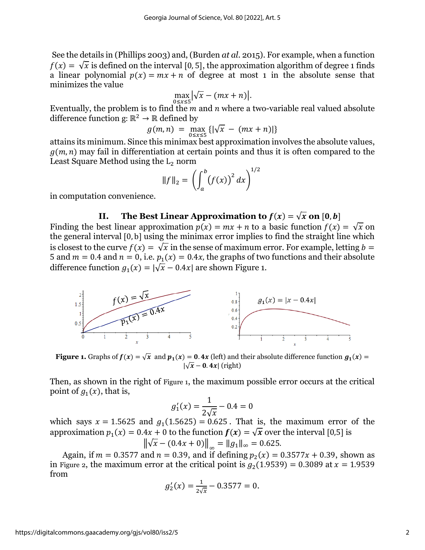See the details in (Phillips 2003) and, (Burden *at al.* 2015). For example, when a function  $f(x) = \sqrt{x}$  is defined on the interval [0, 5], the approximation algorithm of degree 1 finds a linear polynomial  $p(x) = mx + n$  of degree at most 1 in the absolute sense that minimizes the value

$$
\max_{0\leq x\leq 5} \left|\sqrt{x}-(mx+n)\right|.
$$

Eventually, the problem is to find the  $m$  and  $n$  where a two-variable real valued absolute difference function g:  $\mathbb{R}^2 \to \mathbb{R}$  defined by

$$
g(m,n) = \max_{0 \le x \le 5} \{ |\sqrt{x} - (mx+n)| \}
$$

attains its minimum. Since this minimax best approximation involves the absolute values,  $(g(m, n)$  may fail in differentiation at certain points and thus it is often compared to the Least Square Method using the  $L_2$  norm

$$
||f||_2 = \left(\int_a^b (f(x))^2 dx\right)^{1/2}
$$

in computation convenience.

#### **II.** The Best Linear Approximation to  $f(x) = \sqrt{x}$  on [0, b]

Finding the best linear approximation  $p(x) = mx + n$  to a basic function  $f(x) = \sqrt{x}$  on the general interval [0, b] using the minimax error implies to find the straight line which is closest to the curve  $f(x) = \sqrt{x}$  in the sense of maximum error. For example, letting  $b =$ 5 and  $m = 0.4$  and  $n = 0$ , i.e.  $p_1(x) = 0.4x$ , the graphs of two functions and their absolute difference function  $g_1(x) = |\sqrt{x} - 0.4x|$  are shown [Figure 1.](#page-3-0)



<span id="page-3-0"></span>**Figure 1.** Graphs of  $f(x) = \sqrt{x}$  and  $p_1(x) = 0.4x$  (left) and their absolute difference function  $g_1(x) =$  $|\sqrt{x} - \mathbf{0} \cdot 4x|$  (right)

Then, as shown in the right of [Figure 1](#page-3-0), the maximum possible error occurs at the critical point of  $g_1(x)$ , that is,

$$
g_1'(x) = \frac{1}{2\sqrt{x}} - 0.4 = 0
$$

which says  $x = 1.5625$  and  $g_1(1.5625) = 0.625$ . That is, the maximum error of the approximation  $p_1(x) = 0.4x + 0$  to the function  $f(x) = \sqrt{x}$  over the interval [0,5] is

$$
\left\|\sqrt{x} - (0.4x + 0)\right\|_{\infty} = \|g_1\|_{\infty} = 0.625.
$$

Again, if  $m = 0.3577$  and  $n = 0.39$ , and if defining  $p_2(x) = 0.3577x + 0.39$ , shown as in [Figure 2](#page-4-0), the maximum error at the critical point is  $g_2(1.9539) = 0.3089$  at  $x = 1.9539$ from

$$
g_2'(x) = \frac{1}{2\sqrt{x}} - 0.3577 = 0.
$$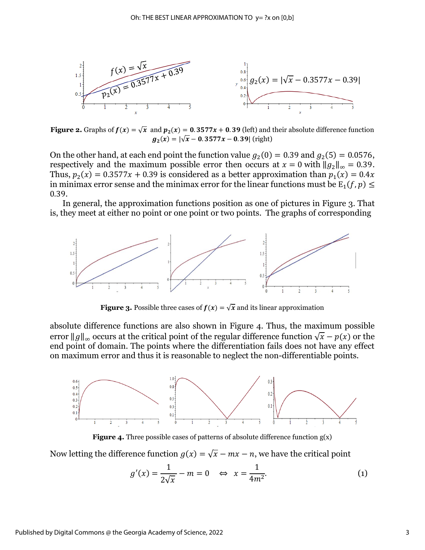

<span id="page-4-0"></span>**Figure 2.** Graphs of  $f(x) = \sqrt{x}$  and  $p_2(x) = 0.3577x + 0.39$  (left) and their absolute difference function  $\boldsymbol{g}_2(\boldsymbol{x}) = |\sqrt{\boldsymbol{x}} - \textbf{0}.~\textbf{3577} \boldsymbol{x} - \textbf{0}.~\textbf{39}| \text{ (right)}$ 

On the other hand, at each end point the function value  $g_2(0) = 0.39$  and  $g_2(5) = 0.0576$ , respectively and the maximum possible error then occurs at  $x = 0$  with  $||g_2||_{\infty} = 0.39$ . Thus,  $p_2(x) = 0.3577x + 0.39$  is considered as a better approximation than  $p_1(x) = 0.4x$ in minimax error sense and the minimax error for the linear functions must be  $\mathrm{E}_1(f, p) \leq 1$ 0.39.

In general, the approximation functions position as one of pictures in Figure 3. That is, they meet at either no point or one point or two points. The graphs of corresponding



**Figure 3.** Possible three cases of  $f(x) = \sqrt{x}$  and its linear approximation

absolute difference functions are also shown in Figure 4. Thus, the maximum possible error  $||g||_{\infty}$  occurs at the critical point of the regular difference function  $\sqrt{x} - p(x)$  or the end point of domain. The points where the differentiation fails does not have any effect on maximum error and thus it is reasonable to neglect the non-differentiable points.



**Figure 4.** Three possible cases of patterns of absolute difference function  $g(x)$ 

Now letting the difference function  $g(x) = \sqrt{x} - mx - n$ , we have the critical point

<span id="page-4-1"></span>
$$
g'(x) = \frac{1}{2\sqrt{x}} - m = 0 \quad \Leftrightarrow \quad x = \frac{1}{4m^2}.
$$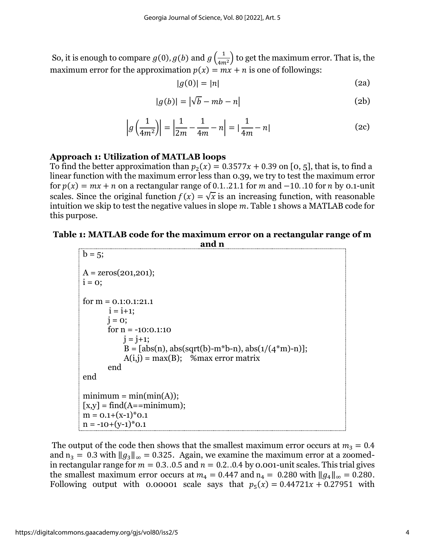So, it is enough to compare  $g(0)$ ,  $g(b)$  and  $g\left(\frac{1}{4m}\right)$  $\frac{1}{4m^2}$ ) to get the maximum error. That is, the maximum error for the approximation  $p(x) = mx + n$  is one of followings:

<span id="page-5-1"></span>
$$
|g(0)| = |n| \tag{2a}
$$

$$
|g(b)| = |\sqrt{b} - mb - n|
$$
 (2b)

$$
\left| g\left(\frac{1}{4m^2}\right) \right| = \left| \frac{1}{2m} - \frac{1}{4m} - n \right| = \left| \frac{1}{4m} - n \right| \tag{2c}
$$

### **Approach 1: Utilization of MATLAB loops**

To find the better approximation than  $p_2(x) = 0.3577x + 0.39$  on [0, 5], that is, to find a linear function with the maximum error less than 0.39, we try to test the maximum error for  $p(x) = mx + n$  on a rectangular range of 0.1. .21.1 for m and  $-10$ . .10 for n by 0.1-unit scales. Since the original function  $f(x) = \sqrt{x}$  is an increasing function, with reasonable intuition we skip to test the negative values in slope  $m$ . [Table 1](#page-5-0) shows a MATLAB code for this purpose.

#### <span id="page-5-0"></span>**Table 1: MATLAB code for the maximum error on a rectangular range of m and n**

The output of the code then shows that the smallest maximum error occurs at  $m_3 = 0.4$ and  $n_3 = 0.3$  with  $||g_3||_{\infty} = 0.325$ . Again, we examine the maximum error at a zoomedin rectangular range for  $m = 0.3$ . 0.5 and  $n = 0.2$ . 0.4 by 0.001-unit scales. This trial gives the smallest maximum error occurs at  $m_4 = 0.447$  and  $n_4 = 0.280$  with  $||g_4||_{\infty} = 0.280$ . Following output with 0.00001 scale says that  $p_5(x) = 0.44721x + 0.27951$  with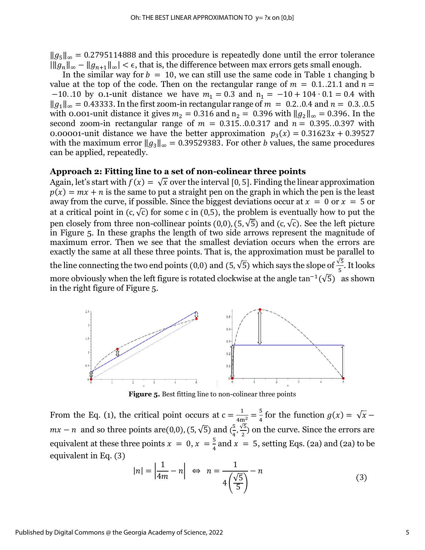$||g_5||_{\infty}$  = 0.2795114888 and this procedure is repeatedly done until the error tolerance  $\|\|g_n\|_{\infty} - \|g_{n+1}\|_{\infty} < \epsilon$ , that is, the difference between max errors gets small enough.

In the similar way for  $b = 10$ , we can still use the same code in [Table 1](#page-5-0) changing b value at the top of the code. Then on the rectangular range of  $m = 0.1$ . 21.1 and  $n =$ −10. 10 by 0.1-unit distance we have  $m_1 = 0.3$  and  $n_1 = -10 + 104 \cdot 0.1 = 0.4$  with  $||g_1||_{\infty} = 0.43333$ . In the first zoom-in rectangular range of  $m = 0.2$ . 0.4 and  $n = 0.3$ . 0.5 with 0.001-unit distance it gives  $m_2 = 0.316$  and  $n_2 = 0.396$  with  $||g_2||_{\infty} = 0.396$ . In the second zoom-in rectangular range of  $m = 0.315..0.0317$  and  $n = 0.395..0.397$  with 0.00001-unit distance we have the better approximation  $p_3(x) = 0.31623x + 0.39527$ with the maximum error  $||g_3||_{\infty} = 0.39529383$ . For other *b* values, the same procedures can be applied, repeatedly.

#### **Approach 2: Fitting line to a set of non-colinear three points**

Again, let's start with  $f(x) = \sqrt{x}$  over the interval [0, 5]. Finding the linear approximation  $p(x) = mx + n$  is the same to put a straight pen on the graph in which the pen is the least away from the curve, if possible. Since the biggest deviations occur at  $x = 0$  or  $x = 5$  or at a critical point in  $(c, \sqrt{c})$  for some c in (0,5), the problem is eventually how to put the pen closely from three non-collinear points (0,0), (5,  $\sqrt{5}$ ) and (c,  $\sqrt{c}$ ). See the left picture in [Figure 5.](#page-6-0) In these graphs the length of two side arrows represent the magnitude of maximum error. Then we see that the smallest deviation occurs when the errors are exactly the same at all these three points. That is, the approximation must be parallel to the line connecting the two end points (0,0) and (5,  $\sqrt{5}$ ) which says the slope of  $\frac{\sqrt{5}}{5}$ . It looks more obviously when the left figure is rotated clockwise at the angle  $\tan^{-1}(\sqrt{5})$  as shown

in the right figure of [Figure 5.](#page-6-0)



**Figure 5.** Best fitting line to non-colinear three points

<span id="page-6-0"></span>From the Eq. [\(1\),](#page-4-1) the critical point occurs at  $c = \frac{1}{4m^2} = \frac{5}{4}$  $\frac{3}{4}$  for the function  $g(x) = \sqrt{x}$  –  $mx - n$  and so three points are(0,0), (5,  $\sqrt{5}$ ) and  $\left(\frac{5}{4}\right)$  $\frac{5}{4}, \frac{\sqrt{5}}{2}$  $\frac{1}{2}$ ) on the curve. Since the errors are equivalent at these three points  $x = 0, x = \frac{5}{4}$  $\frac{3}{4}$  and  $x = 5$ , setting Eqs. [\(2a\)](#page-5-1) and (2a) to be equivalent in Eq. [\(3\)](#page-6-1)

<span id="page-6-1"></span>
$$
|n| = \left| \frac{1}{4m} - n \right| \iff n = \frac{1}{4\left(\frac{\sqrt{5}}{5}\right)} - n \tag{3}
$$